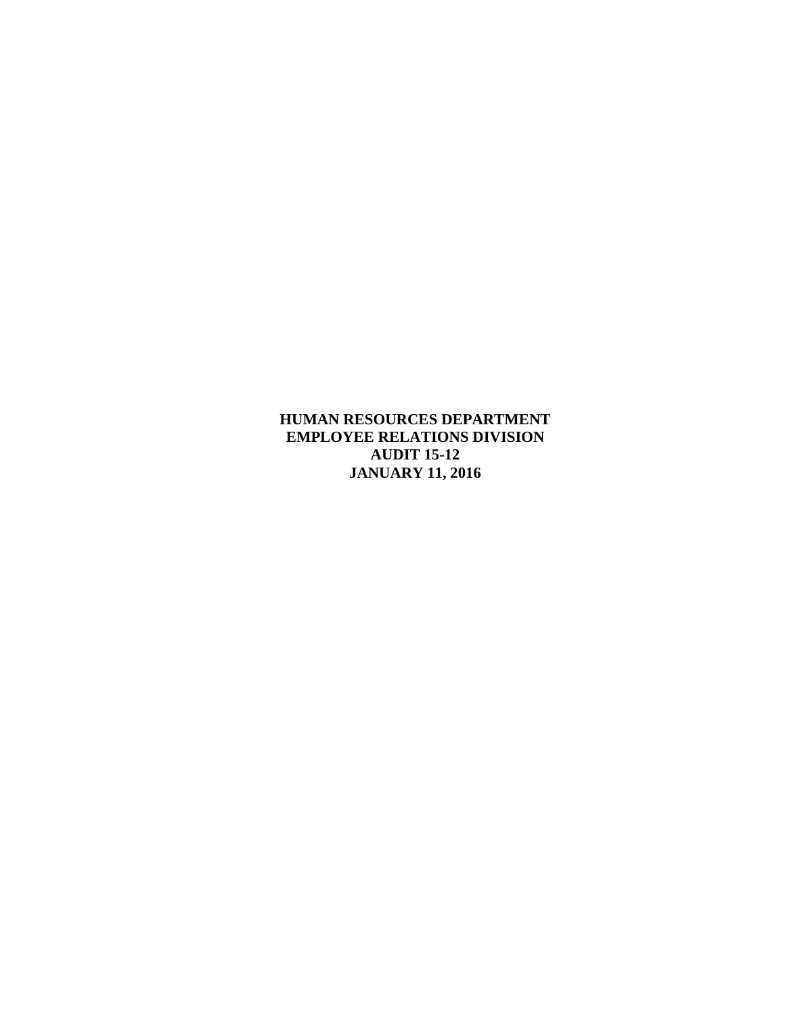**HUMAN RESOURCES DEPARTMENT EMPLOYEE RELATIONS DIVISION AUDIT 15-12 JANUARY 11, 2016**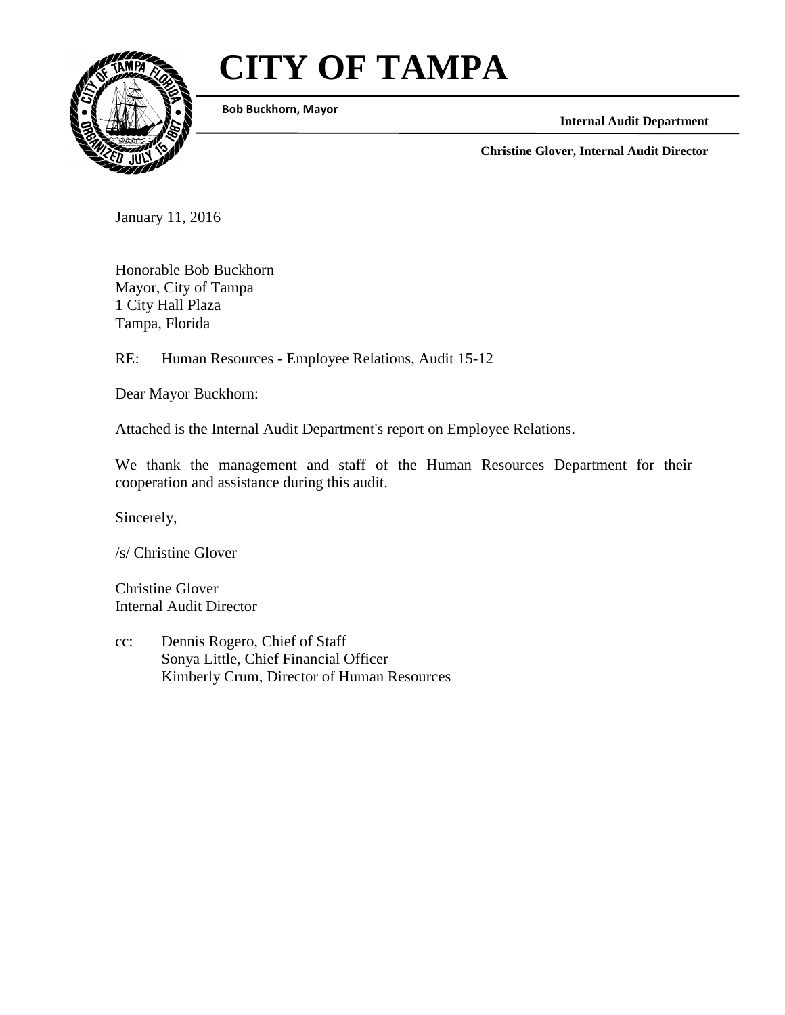# **CITY OF TAMPA**



**Bob Buckhorn, Mayor**

**Internal Audit Department**

**Christine Glover, Internal Audit Director**

January 11, 2016

Honorable Bob Buckhorn Mayor, City of Tampa 1 City Hall Plaza Tampa, Florida

RE: Human Resources - Employee Relations, Audit 15-12

Dear Mayor Buckhorn:

Attached is the Internal Audit Department's report on Employee Relations.

We thank the management and staff of the Human Resources Department for their cooperation and assistance during this audit.

Sincerely,

/s/ Christine Glover

Christine Glover Internal Audit Director

cc: Dennis Rogero, Chief of Staff Sonya Little, Chief Financial Officer Kimberly Crum, Director of Human Resources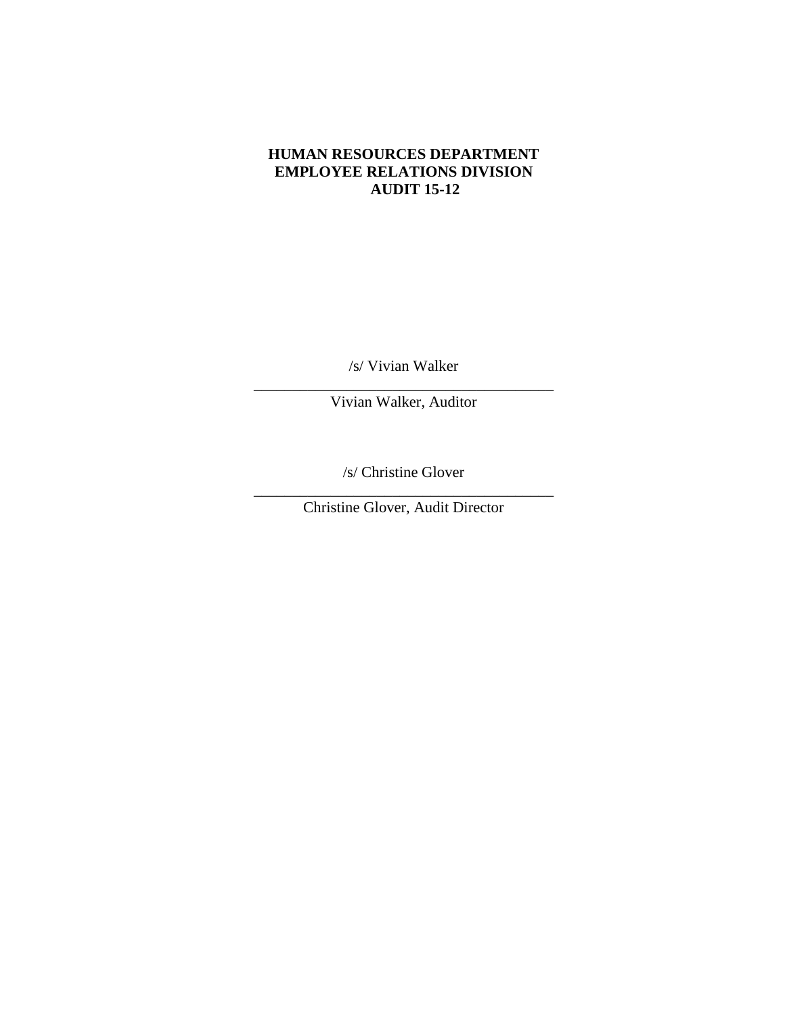#### **HUMAN RESOURCES DEPARTMENT EMPLOYEE RELATIONS DIVISION AUDIT 15-12**

/s/ Vivian Walker

\_\_\_\_\_\_\_\_\_\_\_\_\_\_\_\_\_\_\_\_\_\_\_\_\_\_\_\_\_\_\_\_\_\_\_\_\_\_\_ Vivian Walker, Auditor

/s/ Christine Glover

\_\_\_\_\_\_\_\_\_\_\_\_\_\_\_\_\_\_\_\_\_\_\_\_\_\_\_\_\_\_\_\_\_\_\_\_\_\_\_ Christine Glover, Audit Director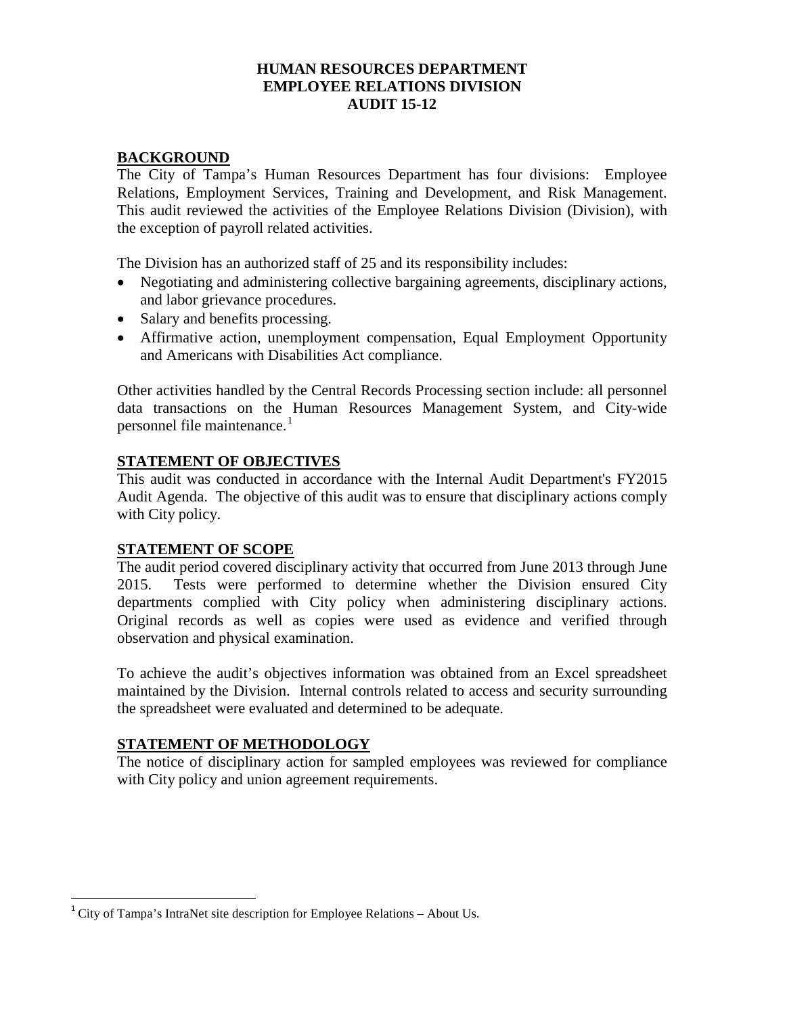## **HUMAN RESOURCES DEPARTMENT EMPLOYEE RELATIONS DIVISION AUDIT 15-12**

## **BACKGROUND**

The City of Tampa's Human Resources Department has four divisions: Employee Relations, Employment Services, Training and Development, and Risk Management. This audit reviewed the activities of the Employee Relations Division (Division), with the exception of payroll related activities.

The Division has an authorized staff of 25 and its responsibility includes:

- Negotiating and administering collective bargaining agreements, disciplinary actions, and labor grievance procedures.
- Salary and benefits processing.
- Affirmative action, unemployment compensation, Equal Employment Opportunity and Americans with Disabilities Act compliance.

Other activities handled by the Central Records Processing section include: all personnel data transactions on the Human Resources Management System, and City-wide personnel file maintenance. [1](#page-3-0)

## **STATEMENT OF OBJECTIVES**

This audit was conducted in accordance with the Internal Audit Department's FY2015 Audit Agenda. The objective of this audit was to ensure that disciplinary actions comply with City policy.

## **STATEMENT OF SCOPE**

The audit period covered disciplinary activity that occurred from June 2013 through June 2015. Tests were performed to determine whether the Division ensured City departments complied with City policy when administering disciplinary actions. Original records as well as copies were used as evidence and verified through observation and physical examination.

To achieve the audit's objectives information was obtained from an Excel spreadsheet maintained by the Division. Internal controls related to access and security surrounding the spreadsheet were evaluated and determined to be adequate.

## **STATEMENT OF METHODOLOGY**

The notice of disciplinary action for sampled employees was reviewed for compliance with City policy and union agreement requirements.

<span id="page-3-0"></span><sup>&</sup>lt;sup>1</sup> City of Tampa's IntraNet site description for Employee Relations – About Us.